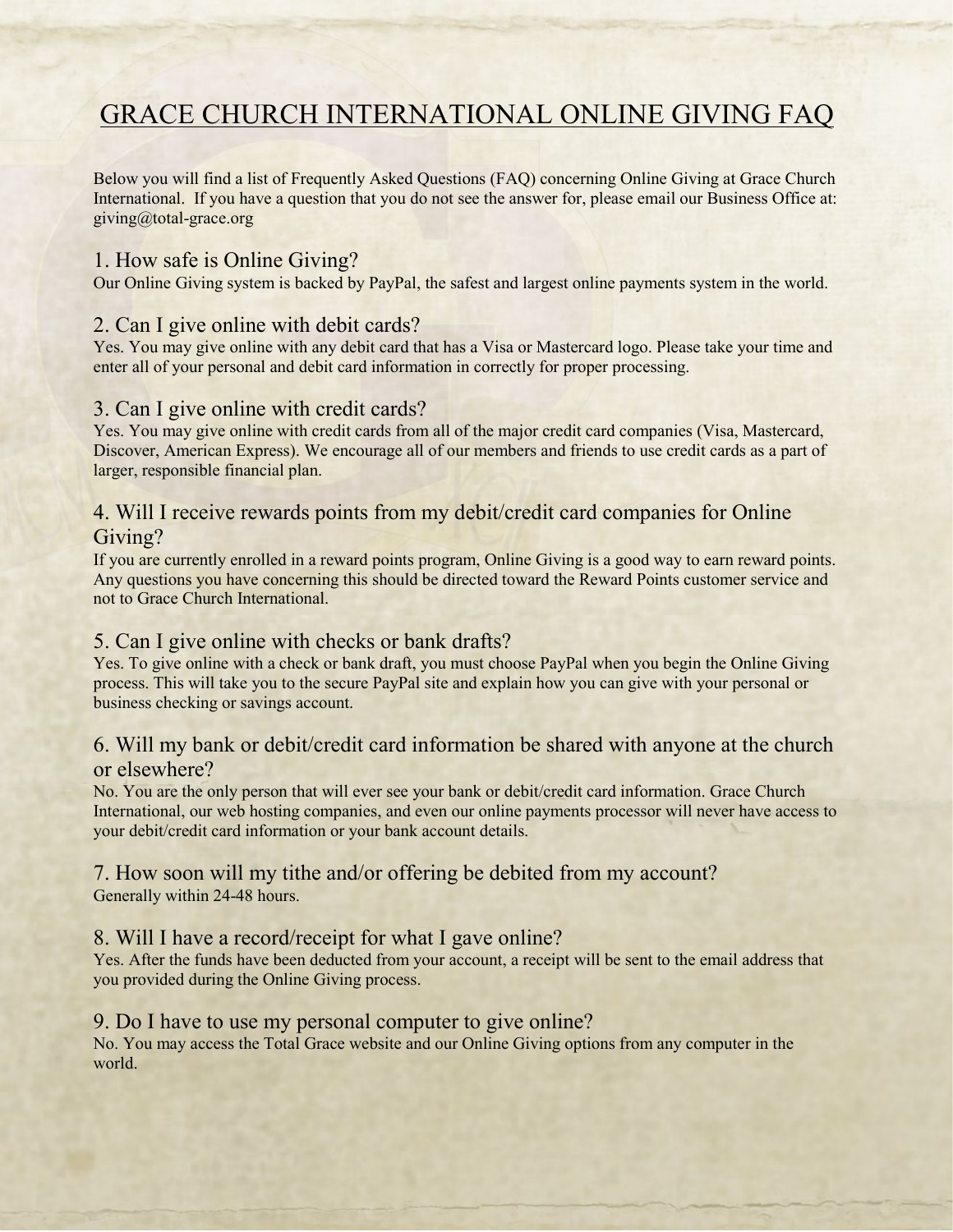# **GRACE CHURCH INTERNATIONAL ONLINE GIVING FAQ**

Below you will find a list of Frequently Asked Questions (FAQ) concerning Online Giving at Grace Church International. If you have a question that you do not see the answer for, please email our Business Office at: giving@total-grace.org

# 1. How safe is Online Giving?

Our Online Giving system is backed by PayPal, the safest and largest online payments system in the world.

#### 2. Can I give online with debit cards?

Yes. You may give online with any debit card that has a Visa or Mastercard logo. Please take your time and enter all of your personal and debit card information in correctly for proper processing.

#### 3. Can I give online with credit cards?

Yes. You may give online with credit cards from all of the major credit card companies (Visa, Mastercard, Discover, American Express). We encourage all of our members and friends to use credit cards as a part of larger, responsible financial plan.

# 4. Will I receive rewards points from my debit/credit card companies for Online Giving?

If you are currently enrolled in a reward points program, Online Giving is a good way to earn reward points. Any questions you have concerning this should be directed toward the Reward Points customer service and not to Grace Church International.

## 5. Can I give online with checks or bank drafts?

Yes. To give online with a check or bank draft, you must choose PayPal when you begin the Online Giving process. This will take you to the secure PayPal site and explain how you can give with your personal or business checking or savings account.

# 6. Will my bank or debit/credit card information be shared with anyone at the church or elsewhere?

No. You are the only person that will ever see your bank or debit/credit card information. Grace Church International, our web hosting companies, and even our online payments processor will never have access to your debit/credit card information or your bank account details.

#### 7. How soon will my tithe and/or offering be debited from my account? Generally within 24-48 hours.

## 8. Will I have a record/receipt for what I gave online?

Yes. After the funds have been deducted from your account, a receipt will be sent to the email address that you provided during the Online Giving process.

#### 9. Do I have to use my personal computer to give online?

No. You may access the Total Grace website and our Online Giving options from any computer in the world.